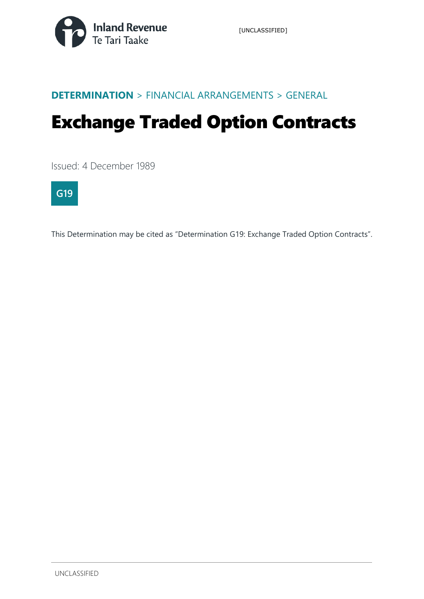

#### **DETERMINATION** > FINANCIAL ARRANGEMENTS > GENERAL

# Exchange Traded Option Contracts

Issued: 4 December 1989



This Determination may be cited as "Determination G19: Exchange Traded Option Contracts".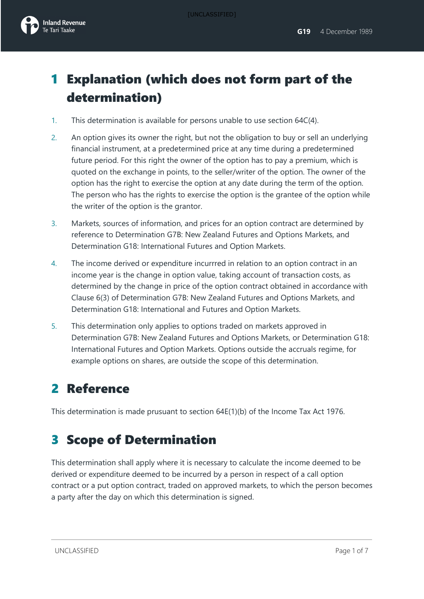[UNCLASSIFIED]



## 1 Explanation (which does not form part of the determination)

- 1. This determination is available for persons unable to use section 64C(4).
- 2. An option gives its owner the right, but not the obligation to buy or sell an underlying financial instrument, at a predetermined price at any time during a predetermined future period. For this right the owner of the option has to pay a premium, which is quoted on the exchange in points, to the seller/writer of the option. The owner of the option has the right to exercise the option at any date during the term of the option. The person who has the rights to exercise the option is the grantee of the option while the writer of the option is the grantor.
- 3. Markets, sources of information, and prices for an option contract are determined by reference to Determination G7B: New Zealand Futures and Options Markets, and Determination G18: International Futures and Option Markets.
- 4. The income derived or expenditure incurrred in relation to an option contract in an income year is the change in option value, taking account of transaction costs, as determined by the change in price of the option contract obtained in accordance with Clause 6(3) of Determination G7B: New Zealand Futures and Options Markets, and Determination G18: International and Futures and Option Markets.
- 5. This determination only applies to options traded on markets approved in Determination G7B: New Zealand Futures and Options Markets, or Determination G18: International Futures and Option Markets. Options outside the accruals regime, for example options on shares, are outside the scope of this determination.

# 2 Reference

This determination is made prusuant to section 64E(1)(b) of the Income Tax Act 1976.

# 3 Scope of Determination

This determination shall apply where it is necessary to calculate the income deemed to be derived or expenditure deemed to be incurred by a person in respect of a call option contract or a put option contract, traded on approved markets, to which the person becomes a party after the day on which this determination is signed.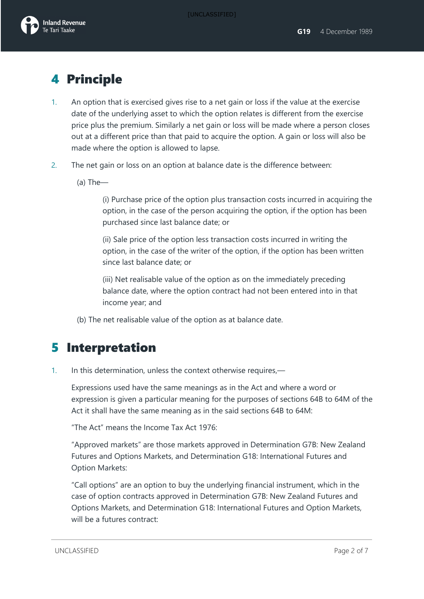### 4 Principle

- 1. An option that is exercised gives rise to a net gain or loss if the value at the exercise date of the underlying asset to which the option relates is different from the exercise price plus the premium. Similarly a net gain or loss will be made where a person closes out at a different price than that paid to acquire the option. A gain or loss will also be made where the option is allowed to lapse.
- 2. The net gain or loss on an option at balance date is the difference between:
	- (a) The—

(i) Purchase price of the option plus transaction costs incurred in acquiring the option, in the case of the person acquiring the option, if the option has been purchased since last balance date; or

(ii) Sale price of the option less transaction costs incurred in writing the option, in the case of the writer of the option, if the option has been written since last balance date; or

(iii) Net realisable value of the option as on the immediately preceding balance date, where the option contract had not been entered into in that income year; and

(b) The net realisable value of the option as at balance date.

### 5 Interpretation

1. In this determination, unless the context otherwise requires,—

Expressions used have the same meanings as in the Act and where a word or expression is given a particular meaning for the purposes of sections 64B to 64M of the Act it shall have the same meaning as in the said sections 64B to 64M:

"The Act" means the Income Tax Act 1976:

"Approved markets" are those markets approved in Determination G7B: New Zealand Futures and Options Markets, and Determination G18: International Futures and Option Markets:

"Call options" are an option to buy the underlying financial instrument, which in the case of option contracts approved in Determination G7B: New Zealand Futures and Options Markets, and Determination G18: International Futures and Option Markets, will be a futures contract: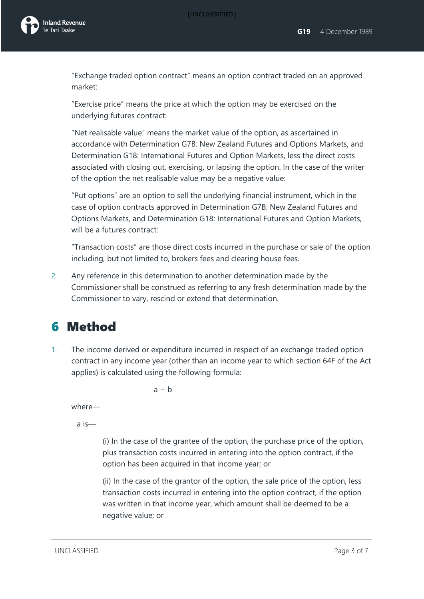

"Exchange traded option contract" means an option contract traded on an approved market:

"Exercise price" means the price at which the option may be exercised on the underlying futures contract:

"Net realisable value" means the market value of the option, as ascertained in accordance with Determination G7B: New Zealand Futures and Options Markets, and Determination G18: International Futures and Option Markets, less the direct costs associated with closing out, exercising, or lapsing the option. In the case of the writer of the option the net realisable value may be a negative value:

"Put options" are an option to sell the underlying financial instrument, which in the case of option contracts approved in Determination G7B: New Zealand Futures and Options Markets, and Determination G18: International Futures and Option Markets, will be a futures contract:

"Transaction costs" are those direct costs incurred in the purchase or sale of the option including, but not limited to, brokers fees and clearing house fees.

2. Any reference in this determination to another determination made by the Commissioner shall be construed as referring to any fresh determination made by the Commissioner to vary, rescind or extend that determination.

### 6 Method

1. The income derived or expenditure incurred in respect of an exchange traded option contract in any income year (other than an income year to which section 64F of the Act applies) is calculated using the following formula:

 $a - b$ 

where—

a is—

(i) In the case of the grantee of the option, the purchase price of the option, plus transaction costs incurred in entering into the option contract, if the option has been acquired in that income year; or

(ii) In the case of the grantor of the option, the sale price of the option, less transaction costs incurred in entering into the option contract, if the option was written in that income year, which amount shall be deemed to be a negative value; or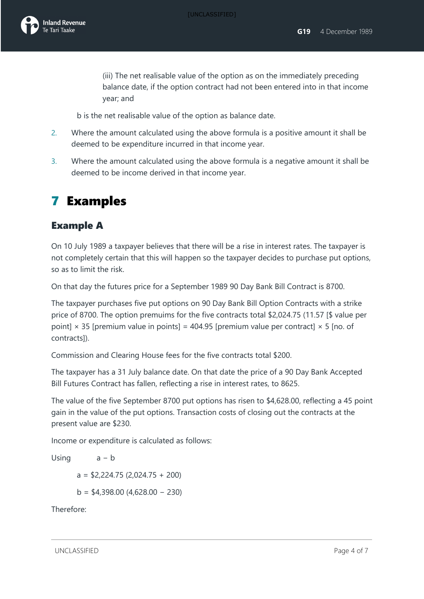(iii) The net realisable value of the option as on the immediately preceding balance date, if the option contract had not been entered into in that income year; and

b is the net realisable value of the option as balance date.

- 2. Where the amount calculated using the above formula is a positive amount it shall be deemed to be expenditure incurred in that income year.
- 3. Where the amount calculated using the above formula is a negative amount it shall be deemed to be income derived in that income year.

### 7 Examples

#### Example A

On 10 July 1989 a taxpayer believes that there will be a rise in interest rates. The taxpayer is not completely certain that this will happen so the taxpayer decides to purchase put options, so as to limit the risk.

On that day the futures price for a September 1989 90 Day Bank Bill Contract is 8700.

The taxpayer purchases five put options on 90 Day Bank Bill Option Contracts with a strike price of 8700. The option premuims for the five contracts total \$2,024.75 (11.57 [\$ value per point]  $\times$  35 [premium value in points] = 404.95 [premium value per contract]  $\times$  5 [no. of contracts]).

Commission and Clearing House fees for the five contracts total \$200.

The taxpayer has a 31 July balance date. On that date the price of a 90 Day Bank Accepted Bill Futures Contract has fallen, reflecting a rise in interest rates, to 8625.

The value of the five September 8700 put options has risen to \$4,628.00, reflecting a 45 point gain in the value of the put options. Transaction costs of closing out the contracts at the present value are \$230.

Income or expenditure is calculated as follows:

```
Using a − b
a = $2,224.75 (2,024.75 + 200)
b = $4,398.00 (4,628.00 − 230)
```
Therefore:

UNCLASSIFIED **Page 4 of 7**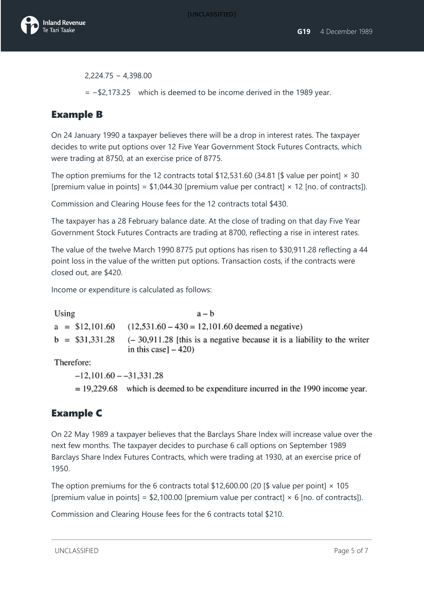

2,224.75 − 4,398.00

= −\$2,173.25 which is deemed to be income derived in the 1989 year.

#### Example B

On 24 January 1990 a taxpayer believes there will be a drop in interest rates. The taxpayer decides to write put options over 12 Five Year Government Stock Futures Contracts, which were trading at 8750, at an exercise price of 8775.

The option premiums for the 12 contracts total \$12,531.60 (34.81 [\$ value per point]  $\times$  30 [premium value in points] = \$1,044.30 [premium value per contract]  $\times$  12 [no. of contracts]).

Commission and Clearing House fees for the 12 contracts total \$430.

The taxpayer has a 28 February balance date. At the close of trading on that day Five Year Government Stock Futures Contracts are trading at 8700, reflecting a rise in interest rates.

The value of the twelve March 1990 8775 put options has risen to \$30,911.28 reflecting a 44 point loss in the value of the written put options. Transaction costs, if the contracts were closed out, are \$420.

Income or expenditure is calculated as follows:

Using  $a - b$  $a = $12,101.60$  $(12,531.60 - 430 = 12,101.60$  deemed a negative)  $b = $31.331.28$  $(-30.911.28)$  [this is a negative because it is a liability to the writer in this case]  $-420$ )

Therefore:

 $-12,101.60 - -31,331.28$ 

 $= 19,229.68$  which is deemed to be expenditure incurred in the 1990 income year.

#### Example C

On 22 May 1989 a taxpayer believes that the Barclays Share Index will increase value over the next few months. The taxpayer decides to purchase 6 call options on September 1989 Barclays Share Index Futures Contracts, which were trading at 1930, at an exercise price of 1950.

The option premiums for the 6 contracts total \$12,600.00 (20 [\$ value per point]  $\times$  105 [premium value in points] = \$2,100.00 [premium value per contract]  $\times$  6 [no. of contracts]).

Commission and Clearing House fees for the 6 contracts total \$210.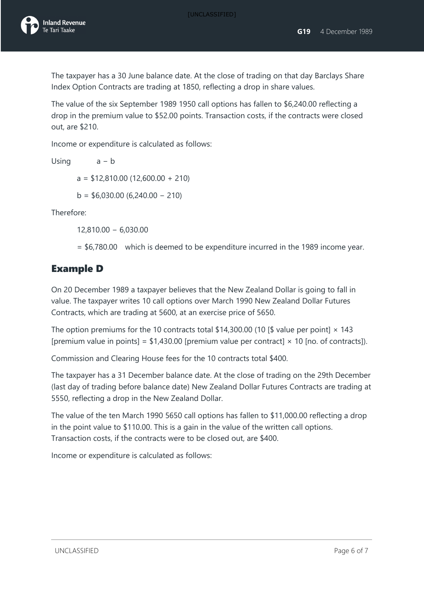The taxpayer has a 30 June balance date. At the close of trading on that day Barclays Share Index Option Contracts are trading at 1850, reflecting a drop in share values.

The value of the six September 1989 1950 call options has fallen to \$6,240.00 reflecting a drop in the premium value to \$52.00 points. Transaction costs, if the contracts were closed out, are \$210.

Income or expenditure is calculated as follows:

Using a − b

 $a = $12,810.00 (12,600.00 + 210)$ 

 $b = $6,030.00 (6,240.00 - 210)$ 

Therefore:

12,810.00 − 6,030.00

= \$6,780.00 which is deemed to be expenditure incurred in the 1989 income year.

#### Example D

On 20 December 1989 a taxpayer believes that the New Zealand Dollar is going to fall in value. The taxpayer writes 10 call options over March 1990 New Zealand Dollar Futures Contracts, which are trading at 5600, at an exercise price of 5650.

The option premiums for the 10 contracts total \$14,300.00 (10 [\$ value per point]  $\times$  143 [premium value in points] =  $$1,430.00$  [premium value per contract]  $\times$  10 [no. of contracts]).

Commission and Clearing House fees for the 10 contracts total \$400.

The taxpayer has a 31 December balance date. At the close of trading on the 29th December (last day of trading before balance date) New Zealand Dollar Futures Contracts are trading at 5550, reflecting a drop in the New Zealand Dollar.

The value of the ten March 1990 5650 call options has fallen to \$11,000.00 reflecting a drop in the point value to \$110.00. This is a gain in the value of the written call options. Transaction costs, if the contracts were to be closed out, are \$400.

Income or expenditure is calculated as follows: